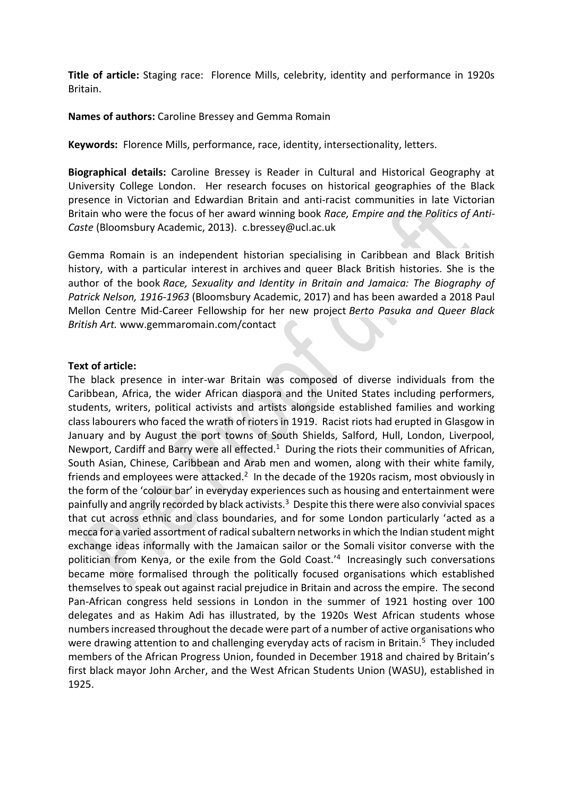**Title of article:** Staging race: Florence Mills, celebrity, identity and performance in 1920s Britain.

**Names of authors:** Caroline Bressey and Gemma Romain

**Keywords:** Florence Mills, performance, race, identity, intersectionality, letters.

**Biographical details:** Caroline Bressey is Reader in Cultural and Historical Geography at University College London. Her research focuses on historical geographies of the Black presence in Victorian and Edwardian Britain and anti-racist communities in late Victorian Britain who were the focus of her award winning book *[Race, Empire and the Politics of Anti-](http://www.bloomsbury.com/uk/empire-race-and-the-politics-of-anti-caste-9781474233392/)[Caste](http://www.bloomsbury.com/uk/empire-race-and-the-politics-of-anti-caste-9781474233392/)* (Bloomsbury Academic, 2013). [c.bressey@ucl.ac.uk](mailto:c.bressey@ucl.ac.uk)

Gemma Romain is an independent historian specialising in Caribbean and Black British history, with a particular interest in archives and queer Black British histories. She is the author of the book *Race, Sexuality and Identity in Britain and Jamaica: The Biography of Patrick Nelson, 1916-1963* (Bloomsbury Academic, 2017) and has been awarded a 2018 Paul Mellon Centre Mid-Career Fellowship for her new project *Berto Pasuka and Queer Black British Art.* www.gemmaromain.com/contact

#### **Text of article:**

The black presence in inter-war Britain was composed of diverse individuals from the Caribbean, Africa, the wider African diaspora and the United States including performers, students, writers, political activists and artists alongside established families and working class labourers who faced the wrath of rioters in 1919. Racist riots had erupted in Glasgow in January and by August the port towns of South Shields, Salford, Hull, London, Liverpool, Newport, Cardiff and Barry were all effected.<sup>1</sup> During the riots their communities of African, South Asian, Chinese, Caribbean and Arab men and women, along with their white family, friends and employees were attacked.<sup>2</sup> In the decade of the 1920s racism, most obviously in the form of the 'colour bar' in everyday experiences such as housing and entertainment were painfully and angrily recorded by black activists.<sup>3</sup> Despite this there were also convivial spaces that cut across ethnic and class boundaries, and for some London particularly 'acted as a mecca for a varied assortment of radical subaltern networks in which the Indian student might exchange ideas informally with the Jamaican sailor or the Somali visitor converse with the politician from Kenya, or the exile from the Gold Coast.'<sup>4</sup> Increasingly such conversations became more formalised through the politically focused organisations which established themselves to speak out against racial prejudice in Britain and across the empire. The second Pan-African congress held sessions in London in the summer of 1921 hosting over 100 delegates and as Hakim Adi has illustrated, by the 1920s West African students whose numbers increased throughout the decade were part of a number of active organisations who were drawing attention to and challenging everyday acts of racism in Britain.<sup>5</sup> They included members of the African Progress Union, founded in December 1918 and chaired by Britain's first black mayor John Archer, and the West African Students Union (WASU), established in 1925.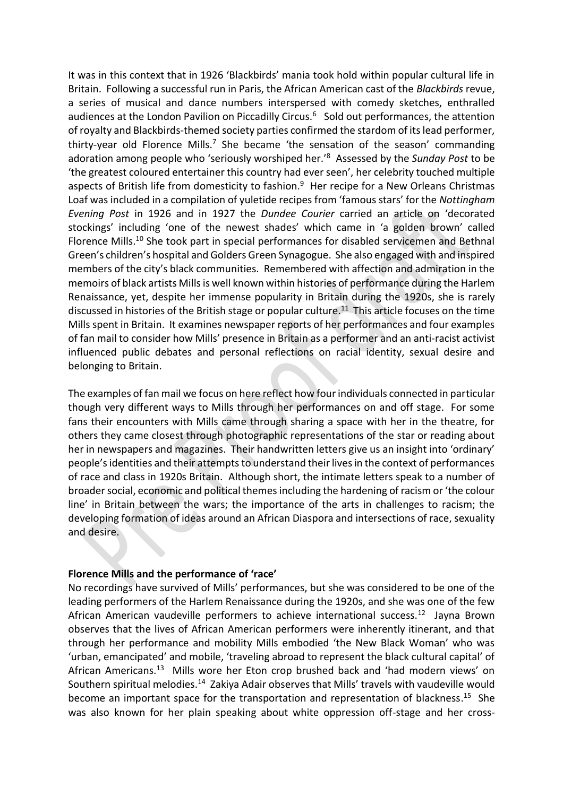It was in this context that in 1926 'Blackbirds' mania took hold within popular cultural life in Britain. Following a successful run in Paris, the African American cast of the *Blackbirds* revue, a series of musical and dance numbers interspersed with comedy sketches, enthralled audiences at the London Pavilion on Piccadilly Circus.<sup>6</sup> Sold out performances, the attention of royalty and Blackbirds-themed society parties confirmed the stardom of its lead performer, thirty-year old Florence Mills.<sup>7</sup> She became 'the sensation of the season' commanding adoration among people who 'seriously worshiped her.'<sup>8</sup> Assessed by the *Sunday Post* to be 'the greatest coloured entertainer this country had ever seen', her celebrity touched multiple aspects of British life from domesticity to fashion.<sup>9</sup> Her recipe for a New Orleans Christmas Loaf was included in a compilation of yuletide recipes from 'famous stars' for the *Nottingham Evening Post* in 1926 and in 1927 the *Dundee Courier* carried an article on 'decorated stockings' including 'one of the newest shades' which came in 'a golden brown' called Florence Mills.<sup>10</sup> She took part in special performances for disabled servicemen and Bethnal Green's children's hospital and Golders Green Synagogue. She also engaged with and inspired members of the city's black communities. Remembered with affection and admiration in the memoirs of black artists Mills is well known within histories of performance during the Harlem Renaissance, yet, despite her immense popularity in Britain during the 1920s, she is rarely discussed in histories of the British stage or popular culture.<sup>11</sup> This article focuses on the time Mills spent in Britain. It examines newspaper reports of her performances and four examples of fan mail to consider how Mills' presence in Britain as a performer and an anti-racist activist influenced public debates and personal reflections on racial identity, sexual desire and belonging to Britain.

The examples of fan mail we focus on here reflect how four individuals connected in particular though very different ways to Mills through her performances on and off stage. For some fans their encounters with Mills came through sharing a space with her in the theatre, for others they came closest through photographic representations of the star or reading about her in newspapers and magazines. Their handwritten letters give us an insight into 'ordinary' people's identities and their attempts to understand their lives in the context of performances of race and class in 1920s Britain. Although short, the intimate letters speak to a number of broader social, economic and political themes including the hardening of racism or 'the colour line' in Britain between the wars; the importance of the arts in challenges to racism; the developing formation of ideas around an African Diaspora and intersections of race, sexuality and desire.

#### **Florence Mills and the performance of 'race'**

No recordings have survived of Mills' performances, but she was considered to be one of the leading performers of the Harlem Renaissance during the 1920s, and she was one of the few African American vaudeville performers to achieve international success.<sup>12</sup> Jayna Brown observes that the lives of African American performers were inherently itinerant, and that through her performance and mobility Mills embodied 'the New Black Woman' who was 'urban, emancipated' and mobile, 'traveling abroad to represent the black cultural capital' of African Americans.<sup>13</sup> Mills wore her Eton crop brushed back and 'had modern views' on Southern spiritual melodies.<sup>14</sup> Zakiya Adair observes that Mills' travels with vaudeville would become an important space for the transportation and representation of blackness.<sup>15</sup> She was also known for her plain speaking about white oppression off-stage and her cross-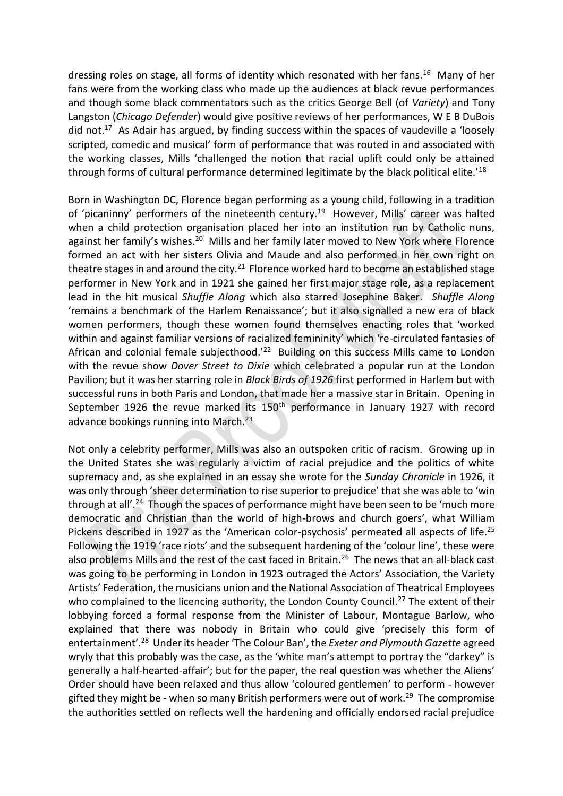dressing roles on stage, all forms of identity which resonated with her fans.<sup>16</sup> Many of her fans were from the working class who made up the audiences at black revue performances and though some black commentators such as the critics George Bell (of *Variety*) and Tony Langston (*Chicago Defender*) would give positive reviews of her performances, W E B DuBois did not.<sup>17</sup> As Adair has argued, by finding success within the spaces of vaudeville a 'loosely scripted, comedic and musical' form of performance that was routed in and associated with the working classes, Mills 'challenged the notion that racial uplift could only be attained through forms of cultural performance determined legitimate by the black political elite.<sup>'18</sup>

Born in Washington DC, Florence began performing as a young child, following in a tradition of 'picaninny' performers of the nineteenth century.<sup>19</sup> However, Mills' career was halted when a child protection organisation placed her into an institution run by Catholic nuns, against her family's wishes.<sup>20</sup> Mills and her family later moved to New York where Florence formed an act with her sisters Olivia and Maude and also performed in her own right on theatre stages in and around the city. $^{21}$  Florence worked hard to become an established stage performer in New York and in 1921 she gained her first major stage role, as a replacement lead in the hit musical *Shuffle Along* which also starred Josephine Baker. *Shuffle Along*  'remains a benchmark of the Harlem Renaissance'; but it also signalled a new era of black women performers, though these women found themselves enacting roles that 'worked within and against familiar versions of racialized femininity' which 're-circulated fantasies of African and colonial female subjecthood.<sup>'22</sup> Building on this success Mills came to London with the revue show *Dover Street to Dixie* which celebrated a popular run at the London Pavilion; but it was her starring role in *Black Birds of 1926* first performed in Harlem but with successful runs in both Paris and London, that made her a massive star in Britain. Opening in September 1926 the revue marked its 150<sup>th</sup> performance in January 1927 with record advance bookings running into March.<sup>23</sup>

Not only a celebrity performer, Mills was also an outspoken critic of racism. Growing up in the United States she was regularly a victim of racial prejudice and the politics of white supremacy and, as she explained in an essay she wrote for the *Sunday Chronicle* in 1926, it was only through 'sheer determination to rise superior to prejudice' that she was able to 'win through at all'.<sup>24</sup> Though the spaces of performance might have been seen to be 'much more democratic and Christian than the world of high-brows and church goers', what William Pickens described in 1927 as the 'American color-psychosis' permeated all aspects of life.<sup>25</sup> Following the 1919 'race riots' and the subsequent hardening of the 'colour line', these were also problems Mills and the rest of the cast faced in Britain.<sup>26</sup> The news that an all-black cast was going to be performing in London in 1923 outraged the Actors' Association, the Variety Artists' Federation, the musicians union and the National Association of Theatrical Employees who complained to the licencing authority, the London County Council.<sup>27</sup> The extent of their lobbying forced a formal response from the Minister of Labour, Montague Barlow, who explained that there was nobody in Britain who could give 'precisely this form of entertainment'.<sup>28</sup> Under its header 'The Colour Ban', the *Exeter and Plymouth Gazette* agreed wryly that this probably was the case, as the 'white man's attempt to portray the "darkey" is generally a half-hearted-affair'; but for the paper, the real question was whether the Aliens' Order should have been relaxed and thus allow 'coloured gentlemen' to perform - however gifted they might be - when so many British performers were out of work.<sup>29</sup> The compromise the authorities settled on reflects well the hardening and officially endorsed racial prejudice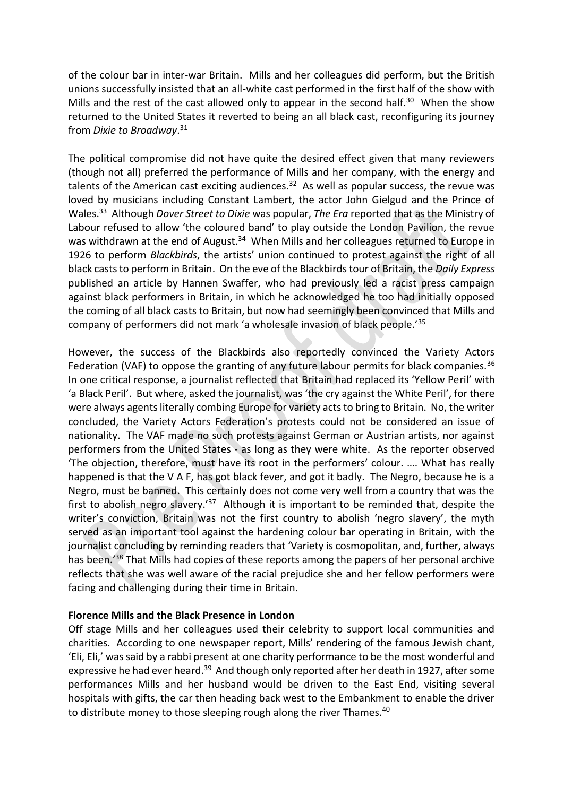of the colour bar in inter-war Britain. Mills and her colleagues did perform, but the British unions successfully insisted that an all-white cast performed in the first half of the show with Mills and the rest of the cast allowed only to appear in the second half.<sup>30</sup> When the show returned to the United States it reverted to being an all black cast, reconfiguring its journey from *Dixie to Broadway*. 31

The political compromise did not have quite the desired effect given that many reviewers (though not all) preferred the performance of Mills and her company, with the energy and talents of the American cast exciting audiences.<sup>32</sup> As well as popular success, the revue was loved by musicians including Constant Lambert, the actor John Gielgud and the Prince of Wales.<sup>33</sup> Although *Dover Street to Dixie* was popular, *The Era* reported that as the Ministry of Labour refused to allow 'the coloured band' to play outside the London Pavilion, the revue was withdrawn at the end of August.<sup>34</sup> When Mills and her colleagues returned to Europe in 1926 to perform *Blackbirds*, the artists' union continued to protest against the right of all black casts to perform in Britain. On the eve of the Blackbirds tour of Britain, the *Daily Express* published an article by Hannen Swaffer, who had previously led a racist press campaign against black performers in Britain, in which he acknowledged he too had initially opposed the coming of all black casts to Britain, but now had seemingly been convinced that Mills and company of performers did not mark 'a wholesale invasion of black people.'<sup>35</sup>

However, the success of the Blackbirds also reportedly convinced the Variety Actors Federation (VAF) to oppose the granting of any future labour permits for black companies.<sup>36</sup> In one critical response, a journalist reflected that Britain had replaced its 'Yellow Peril' with 'a Black Peril'. But where, asked the journalist, was 'the cry against the White Peril', for there were always agents literally combing Europe for variety acts to bring to Britain. No, the writer concluded, the Variety Actors Federation's protests could not be considered an issue of nationality. The VAF made no such protests against German or Austrian artists, nor against performers from the United States - as long as they were white. As the reporter observed 'The objection, therefore, must have its root in the performers' colour. …. What has really happened is that the V A F, has got black fever, and got it badly. The Negro, because he is a Negro, must be banned. This certainly does not come very well from a country that was the first to abolish negro slavery.'<sup>37</sup> Although it is important to be reminded that, despite the writer's conviction, Britain was not the first country to abolish 'negro slavery', the myth served as an important tool against the hardening colour bar operating in Britain, with the journalist concluding by reminding readers that 'Variety is cosmopolitan, and, further, always has been.<sup>'38</sup> That Mills had copies of these reports among the papers of her personal archive reflects that she was well aware of the racial prejudice she and her fellow performers were facing and challenging during their time in Britain.

# **Florence Mills and the Black Presence in London**

Off stage Mills and her colleagues used their celebrity to support local communities and charities. According to one newspaper report, Mills' rendering of the famous Jewish chant, 'Eli, Eli,' was said by a rabbi present at one charity performance to be the most wonderful and expressive he had ever heard.<sup>39</sup> And though only reported after her death in 1927, after some performances Mills and her husband would be driven to the East End, visiting several hospitals with gifts, the car then heading back west to the Embankment to enable the driver to distribute money to those sleeping rough along the river Thames.<sup>40</sup>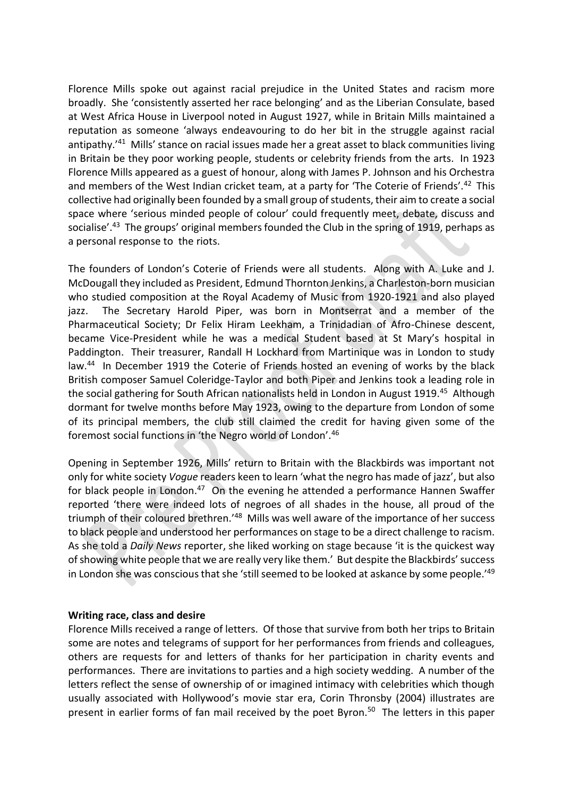Florence Mills spoke out against racial prejudice in the United States and racism more broadly. She 'consistently asserted her race belonging' and as the Liberian Consulate, based at West Africa House in Liverpool noted in August 1927, while in Britain Mills maintained a reputation as someone 'always endeavouring to do her bit in the struggle against racial antipathy.'<sup>41</sup> Mills' stance on racial issues made her a great asset to black communities living in Britain be they poor working people, students or celebrity friends from the arts. In 1923 Florence Mills appeared as a guest of honour, along with James P. Johnson and his Orchestra and members of the West Indian cricket team, at a party for 'The Coterie of Friends'.<sup>42</sup> This collective had originally been founded by a small group of students, their aim to create a social space where 'serious minded people of colour' could frequently meet, debate, discuss and socialise'.<sup>43</sup> The groups' original members founded the Club in the spring of 1919, perhaps as a personal response to the riots.

The founders of London's Coterie of Friends were all students. Along with A. Luke and J. McDougall they included as President, Edmund Thornton Jenkins, a Charleston-born musician who studied composition at the Royal Academy of Music from 1920-1921 and also played jazz. The Secretary Harold Piper, was born in Montserrat and a member of the Pharmaceutical Society; Dr Felix Hiram Leekham, a Trinidadian of Afro-Chinese descent, became Vice-President while he was a medical Student based at St Mary's hospital in Paddington. Their treasurer, Randall H Lockhard from Martinique was in London to study law.<sup>44</sup> In December 1919 the Coterie of Friends hosted an evening of works by the black British composer Samuel Coleridge-Taylor and both Piper and Jenkins took a leading role in the social gathering for South African nationalists held in London in August 1919.<sup>45</sup> Although dormant for twelve months before May 1923, owing to the departure from London of some of its principal members, the club still claimed the credit for having given some of the foremost social functions in 'the Negro world of London'.<sup>46</sup>

Opening in September 1926, Mills' return to Britain with the Blackbirds was important not only for white society *Vogue* readers keen to learn 'what the negro has made of jazz', but also for black people in London.<sup>47</sup> On the evening he attended a performance Hannen Swaffer reported 'there were indeed lots of negroes of all shades in the house, all proud of the triumph of their coloured brethren.'<sup>48</sup> Mills was well aware of the importance of her success to black people and understood her performances on stage to be a direct challenge to racism. As she told a *Daily News* reporter, she liked working on stage because 'it is the quickest way of showing white people that we are really very like them.' But despite the Blackbirds' success in London she was conscious that she 'still seemed to be looked at askance by some people.' $^{49}$ 

# **Writing race, class and desire**

Florence Mills received a range of letters. Of those that survive from both her trips to Britain some are notes and telegrams of support for her performances from friends and colleagues, others are requests for and letters of thanks for her participation in charity events and performances. There are invitations to parties and a high society wedding. A number of the letters reflect the sense of ownership of or imagined intimacy with celebrities which though usually associated with Hollywood's movie star era, Corin Thronsby (2004) illustrates are present in earlier forms of fan mail received by the poet Byron.<sup>50</sup> The letters in this paper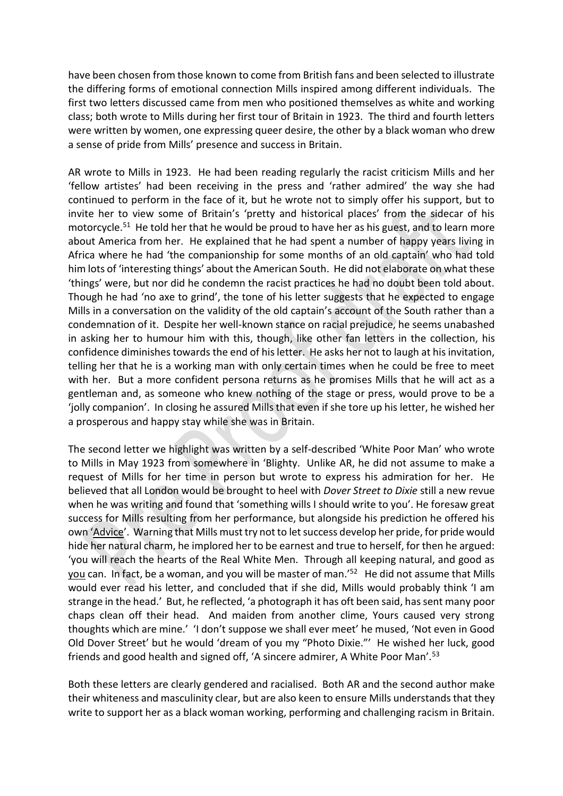have been chosen from those known to come from British fans and been selected to illustrate the differing forms of emotional connection Mills inspired among different individuals. The first two letters discussed came from men who positioned themselves as white and working class; both wrote to Mills during her first tour of Britain in 1923. The third and fourth letters were written by women, one expressing queer desire, the other by a black woman who drew a sense of pride from Mills' presence and success in Britain.

AR wrote to Mills in 1923. He had been reading regularly the racist criticism Mills and her 'fellow artistes' had been receiving in the press and 'rather admired' the way she had continued to perform in the face of it, but he wrote not to simply offer his support, but to invite her to view some of Britain's 'pretty and historical places' from the sidecar of his motorcycle.<sup>51</sup> He told her that he would be proud to have her as his guest, and to learn more about America from her. He explained that he had spent a number of happy years living in Africa where he had 'the companionship for some months of an old captain' who had told him lots of 'interesting things' about the American South. He did not elaborate on what these 'things' were, but nor did he condemn the racist practices he had no doubt been told about. Though he had 'no axe to grind', the tone of his letter suggests that he expected to engage Mills in a conversation on the validity of the old captain's account of the South rather than a condemnation of it. Despite her well-known stance on racial prejudice, he seems unabashed in asking her to humour him with this, though, like other fan letters in the collection, his confidence diminishes towards the end of his letter. He asks her not to laugh at his invitation, telling her that he is a working man with only certain times when he could be free to meet with her. But a more confident persona returns as he promises Mills that he will act as a gentleman and, as someone who knew nothing of the stage or press, would prove to be a 'jolly companion'. In closing he assured Mills that even if she tore up his letter, he wished her a prosperous and happy stay while she was in Britain.

The second letter we highlight was written by a self-described 'White Poor Man' who wrote to Mills in May 1923 from somewhere in 'Blighty. Unlike AR, he did not assume to make a request of Mills for her time in person but wrote to express his admiration for her. He believed that all London would be brought to heel with *Dover Street to Dixie* still a new revue when he was writing and found that 'something wills I should write to you'. He foresaw great success for Mills resulting from her performance, but alongside his prediction he offered his own 'Advice'. Warning that Mills must try not to let success develop her pride, for pride would hide her natural charm, he implored her to be earnest and true to herself, for then he argued: 'you will reach the hearts of the Real White Men. Through all keeping natural, and good as you can. In fact, be a woman, and you will be master of man.'<sup>52</sup> He did not assume that Mills would ever read his letter, and concluded that if she did, Mills would probably think 'I am strange in the head.' But, he reflected, 'a photograph it has oft been said, has sent many poor chaps clean off their head. And maiden from another clime, Yours caused very strong thoughts which are mine.' 'I don't suppose we shall ever meet' he mused, 'Not even in Good Old Dover Street' but he would 'dream of you my "Photo Dixie."' He wished her luck, good friends and good health and signed off, 'A sincere admirer, A White Poor Man'.<sup>53</sup>

Both these letters are clearly gendered and racialised. Both AR and the second author make their whiteness and masculinity clear, but are also keen to ensure Mills understands that they write to support her as a black woman working, performing and challenging racism in Britain.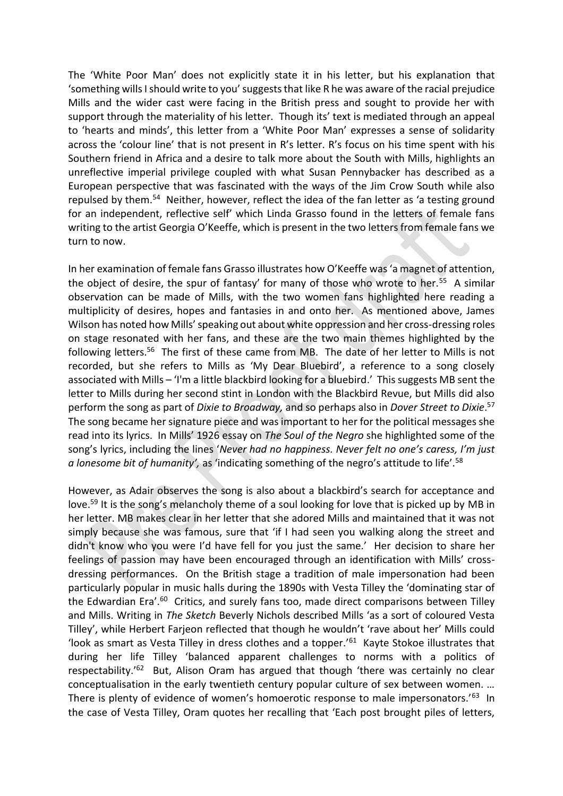The 'White Poor Man' does not explicitly state it in his letter, but his explanation that 'something wills I should write to you' suggests that like R he was aware of the racial prejudice Mills and the wider cast were facing in the British press and sought to provide her with support through the materiality of his letter. Though its' text is mediated through an appeal to 'hearts and minds', this letter from a 'White Poor Man' expresses a sense of solidarity across the 'colour line' that is not present in R's letter. R's focus on his time spent with his Southern friend in Africa and a desire to talk more about the South with Mills, highlights an unreflective imperial privilege coupled with what Susan Pennybacker has described as a European perspective that was fascinated with the ways of the Jim Crow South while also repulsed by them.<sup>54</sup> Neither, however, reflect the idea of the fan letter as 'a testing ground for an independent, reflective self' which Linda Grasso found in the letters of female fans writing to the artist Georgia O'Keeffe, which is present in the two letters from female fans we turn to now.

In her examination of female fans Grasso illustrates how O'Keeffe was 'a magnet of attention, the object of desire, the spur of fantasy' for many of those who wrote to her.<sup>55</sup> A similar observation can be made of Mills, with the two women fans highlighted here reading a multiplicity of desires, hopes and fantasies in and onto her. As mentioned above, James Wilson has noted how Mills' speaking out about white oppression and her cross-dressing roles on stage resonated with her fans, and these are the two main themes highlighted by the following letters.<sup>56</sup> The first of these came from MB. The date of her letter to Mills is not recorded, but she refers to Mills as 'My Dear Bluebird', a reference to a song closely associated with Mills – 'I'm a little blackbird looking for a bluebird.' This suggests MB sent the letter to Mills during her second stint in London with the Blackbird Revue, but Mills did also perform the song as part of *Dixie to Broadway,* and so perhaps also in *Dover Street to Dixie*. 57 The song became her signature piece and was important to her for the political messages she read into its lyrics. In Mills' 1926 essay on *The Soul of the Negro* she highlighted some of the song's lyrics, including the lines '*Never had no happiness. Never felt no one's caress, I'm just a lonesome bit of humanity',* as 'indicating something of the negro's attitude to life'.<sup>58</sup>

However, as Adair observes the song is also about a blackbird's search for acceptance and love.<sup>59</sup> It is the song's melancholy theme of a soul looking for love that is picked up by MB in her letter. MB makes clear in her letter that she adored Mills and maintained that it was not simply because she was famous, sure that 'if I had seen you walking along the street and didn't know who you were I'd have fell for you just the same.' Her decision to share her feelings of passion may have been encouraged through an identification with Mills' crossdressing performances. On the British stage a tradition of male impersonation had been particularly popular in music halls during the 1890s with Vesta Tilley the 'dominating star of the Edwardian Era'.<sup>60</sup> Critics, and surely fans too, made direct comparisons between Tilley and Mills. Writing in *The Sketch* Beverly Nichols described Mills 'as a sort of coloured Vesta Tilley', while Herbert Farjeon reflected that though he wouldn't 'rave about her' Mills could 'look as smart as Vesta Tilley in dress clothes and a topper.'<sup>61</sup> Kayte Stokoe illustrates that during her life Tilley 'balanced apparent challenges to norms with a politics of respectability.'<sup>62</sup> But, Alison Oram has argued that though 'there was certainly no clear conceptualisation in the early twentieth century popular culture of sex between women. … There is plenty of evidence of women's homoerotic response to male impersonators.'<sup>63</sup> In the case of Vesta Tilley, Oram quotes her recalling that 'Each post brought piles of letters,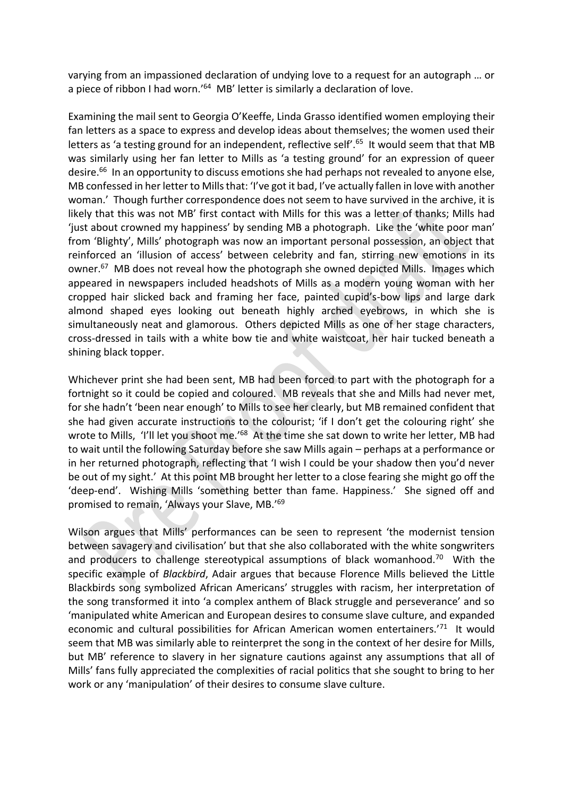varying from an impassioned declaration of undying love to a request for an autograph … or a piece of ribbon I had worn.'<sup>64</sup> MB' letter is similarly a declaration of love.

Examining the mail sent to Georgia O'Keeffe, Linda Grasso identified women employing their fan letters as a space to express and develop ideas about themselves; the women used their letters as 'a testing ground for an independent, reflective self'.<sup>65</sup> It would seem that that MB was similarly using her fan letter to Mills as 'a testing ground' for an expression of queer desire.<sup>66</sup> In an opportunity to discuss emotions she had perhaps not revealed to anyone else, MB confessed in her letter to Mills that: 'I've got it bad, I've actually fallen in love with another woman.' Though further correspondence does not seem to have survived in the archive, it is likely that this was not MB' first contact with Mills for this was a letter of thanks; Mills had 'just about crowned my happiness' by sending MB a photograph. Like the 'white poor man' from 'Blighty', Mills' photograph was now an important personal possession, an object that reinforced an 'illusion of access' between celebrity and fan, stirring new emotions in its owner.<sup>67</sup> MB does not reveal how the photograph she owned depicted Mills. Images which appeared in newspapers included headshots of Mills as a modern young woman with her cropped hair slicked back and framing her face, painted cupid's-bow lips and large dark almond shaped eyes looking out beneath highly arched eyebrows, in which she is simultaneously neat and glamorous. Others depicted Mills as one of her stage characters, cross-dressed in tails with a white bow tie and white waistcoat, her hair tucked beneath a shining black topper.

Whichever print she had been sent, MB had been forced to part with the photograph for a fortnight so it could be copied and coloured. MB reveals that she and Mills had never met, for she hadn't 'been near enough' to Mills to see her clearly, but MB remained confident that she had given accurate instructions to the colourist; 'if I don't get the colouring right' she wrote to Mills, 'I'll let you shoot me.'<sup>68</sup> At the time she sat down to write her letter, MB had to wait until the following Saturday before she saw Mills again – perhaps at a performance or in her returned photograph, reflecting that 'I wish I could be your shadow then you'd never be out of my sight.' At this point MB brought her letter to a close fearing she might go off the 'deep-end'. Wishing Mills 'something better than fame. Happiness.' She signed off and promised to remain, 'Always your Slave, MB.'<sup>69</sup>

Wilson argues that Mills' performances can be seen to represent 'the modernist tension between savagery and civilisation' but that she also collaborated with the white songwriters and producers to challenge stereotypical assumptions of black womanhood.<sup>70</sup> With the specific example of *Blackbird*, Adair argues that because Florence Mills believed the Little Blackbirds song symbolized African Americans' struggles with racism, her interpretation of the song transformed it into 'a complex anthem of Black struggle and perseverance' and so 'manipulated white American and European desires to consume slave culture, and expanded economic and cultural possibilities for African American women entertainers.<sup>'71</sup> It would seem that MB was similarly able to reinterpret the song in the context of her desire for Mills, but MB' reference to slavery in her signature cautions against any assumptions that all of Mills' fans fully appreciated the complexities of racial politics that she sought to bring to her work or any 'manipulation' of their desires to consume slave culture.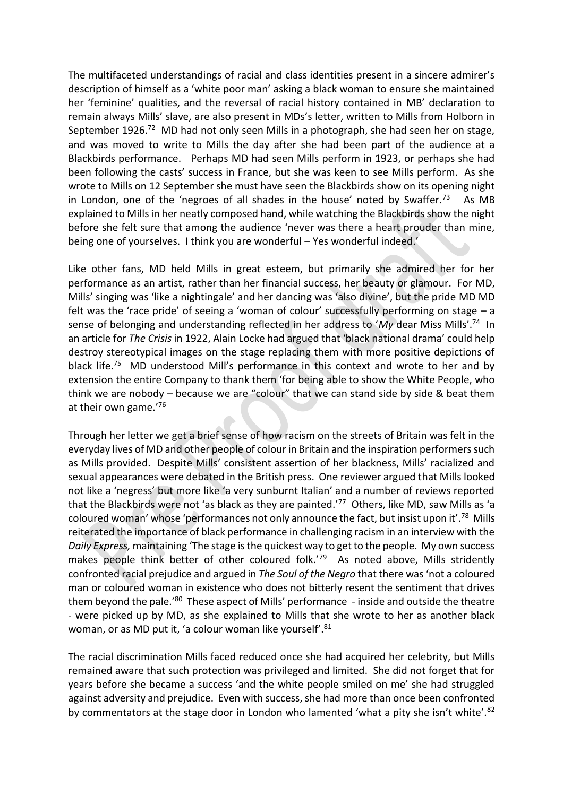The multifaceted understandings of racial and class identities present in a sincere admirer's description of himself as a 'white poor man' asking a black woman to ensure she maintained her 'feminine' qualities, and the reversal of racial history contained in MB' declaration to remain always Mills' slave, are also present in MDs's letter, written to Mills from Holborn in September 1926.<sup>72</sup> MD had not only seen Mills in a photograph, she had seen her on stage, and was moved to write to Mills the day after she had been part of the audience at a Blackbirds performance. Perhaps MD had seen Mills perform in 1923, or perhaps she had been following the casts' success in France, but she was keen to see Mills perform. As she wrote to Mills on 12 September she must have seen the Blackbirds show on its opening night in London, one of the 'negroes of all shades in the house' noted by Swaffer.<sup>73</sup> As MB explained to Mills in her neatly composed hand, while watching the Blackbirds show the night before she felt sure that among the audience 'never was there a heart prouder than mine, being one of yourselves. I think you are wonderful – Yes wonderful indeed.'

Like other fans, MD held Mills in great esteem, but primarily she admired her for her performance as an artist, rather than her financial success, her beauty or glamour. For MD, Mills' singing was 'like a nightingale' and her dancing was 'also divine', but the pride MD MD felt was the 'race pride' of seeing a 'woman of colour' successfully performing on stage – a sense of belonging and understanding reflected in her address to '*My* dear Miss Mills'.<sup>74</sup> In an article for *The Crisis* in 1922, Alain Locke had argued that 'black national drama' could help destroy stereotypical images on the stage replacing them with more positive depictions of black life.<sup>75</sup> MD understood Mill's performance in this context and wrote to her and by extension the entire Company to thank them 'for being able to show the White People, who think we are nobody – because we are "colour" that we can stand side by side & beat them at their own game.'<sup>76</sup>

Through her letter we get a brief sense of how racism on the streets of Britain was felt in the everyday lives of MD and other people of colour in Britain and the inspiration performers such as Mills provided. Despite Mills' consistent assertion of her blackness, Mills' racialized and sexual appearances were debated in the British press. One reviewer argued that Mills looked not like a 'negress' but more like 'a very sunburnt Italian' and a number of reviews reported that the Blackbirds were not 'as black as they are painted.'<sup>77</sup> Others, like MD, saw Mills as 'a coloured woman' whose 'performances not only announce the fact, but insist upon it'.<sup>78</sup> Mills reiterated the importance of black performance in challenging racism in an interview with the *Daily Express,* maintaining 'The stage is the quickest way to get to the people. My own success makes people think better of other coloured folk.<sup>79</sup> As noted above, Mills stridently confronted racial prejudice and argued in *The Soul of the Negro* that there was 'not a coloured man or coloured woman in existence who does not bitterly resent the sentiment that drives them beyond the pale.'<sup>80</sup> These aspect of Mills' performance - inside and outside the theatre - were picked up by MD, as she explained to Mills that she wrote to her as another black woman, or as MD put it, 'a colour woman like yourself'.<sup>81</sup>

The racial discrimination Mills faced reduced once she had acquired her celebrity, but Mills remained aware that such protection was privileged and limited. She did not forget that for years before she became a success 'and the white people smiled on me' she had struggled against adversity and prejudice. Even with success, she had more than once been confronted by commentators at the stage door in London who lamented 'what a pity she isn't white'.<sup>82</sup>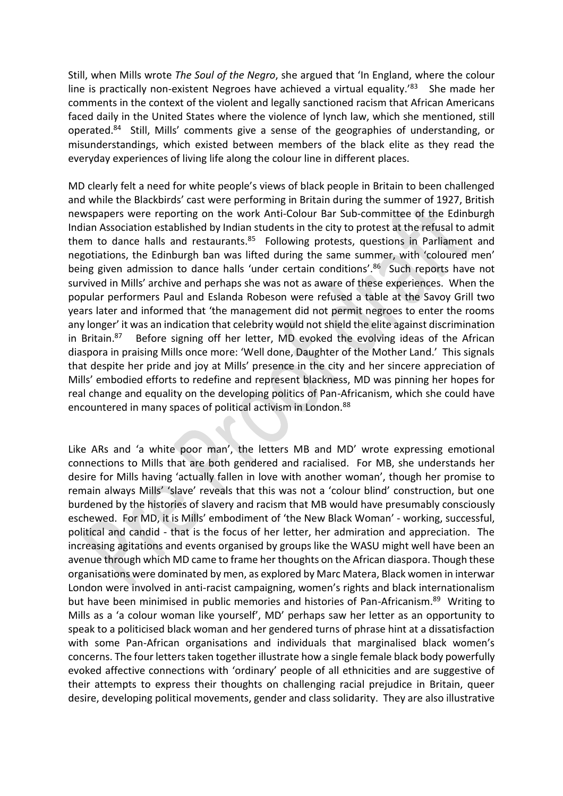Still, when Mills wrote *The Soul of the Negro*, she argued that 'In England, where the colour line is practically non-existent Negroes have achieved a virtual equality.'<sup>83</sup> She made her comments in the context of the violent and legally sanctioned racism that African Americans faced daily in the United States where the violence of lynch law, which she mentioned, still operated.<sup>84</sup> Still, Mills' comments give a sense of the geographies of understanding, or misunderstandings, which existed between members of the black elite as they read the everyday experiences of living life along the colour line in different places.

MD clearly felt a need for white people's views of black people in Britain to been challenged and while the Blackbirds' cast were performing in Britain during the summer of 1927, British newspapers were reporting on the work Anti-Colour Bar Sub-committee of the Edinburgh Indian Association established by Indian students in the city to protest at the refusal to admit them to dance halls and restaurants.<sup>85</sup> Following protests, questions in Parliament and negotiations, the Edinburgh ban was lifted during the same summer, with 'coloured men' being given admission to dance halls 'under certain conditions'.<sup>86</sup> Such reports have not survived in Mills' archive and perhaps she was not as aware of these experiences. When the popular performers Paul and Eslanda Robeson were refused a table at the Savoy Grill two years later and informed that 'the management did not permit negroes to enter the rooms any longer' it was an indication that celebrity would not shield the elite against discrimination in Britain.<sup>87</sup> Before signing off her letter, MD evoked the evolving ideas of the African diaspora in praising Mills once more: 'Well done, Daughter of the Mother Land.' This signals that despite her pride and joy at Mills' presence in the city and her sincere appreciation of Mills' embodied efforts to redefine and represent blackness, MD was pinning her hopes for real change and equality on the developing politics of Pan-Africanism, which she could have encountered in many spaces of political activism in London.<sup>88</sup>

Like ARs and 'a white poor man', the letters MB and MD' wrote expressing emotional connections to Mills that are both gendered and racialised. For MB, she understands her desire for Mills having 'actually fallen in love with another woman', though her promise to remain always Mills' 'slave' reveals that this was not a 'colour blind' construction, but one burdened by the histories of slavery and racism that MB would have presumably consciously eschewed. For MD, it is Mills' embodiment of 'the New Black Woman' - working, successful, political and candid - that is the focus of her letter, her admiration and appreciation. The increasing agitations and events organised by groups like the WASU might well have been an avenue through which MD came to frame her thoughts on the African diaspora. Though these organisations were dominated by men, as explored by Marc Matera, Black women in interwar London were involved in anti-racist campaigning, women's rights and black internationalism but have been minimised in public memories and histories of Pan-Africanism.<sup>89</sup> Writing to Mills as a 'a colour woman like yourself', MD' perhaps saw her letter as an opportunity to speak to a politicised black woman and her gendered turns of phrase hint at a dissatisfaction with some Pan-African organisations and individuals that marginalised black women's concerns. The four letters taken together illustrate how a single female black body powerfully evoked affective connections with 'ordinary' people of all ethnicities and are suggestive of their attempts to express their thoughts on challenging racial prejudice in Britain, queer desire, developing political movements, gender and class solidarity. They are also illustrative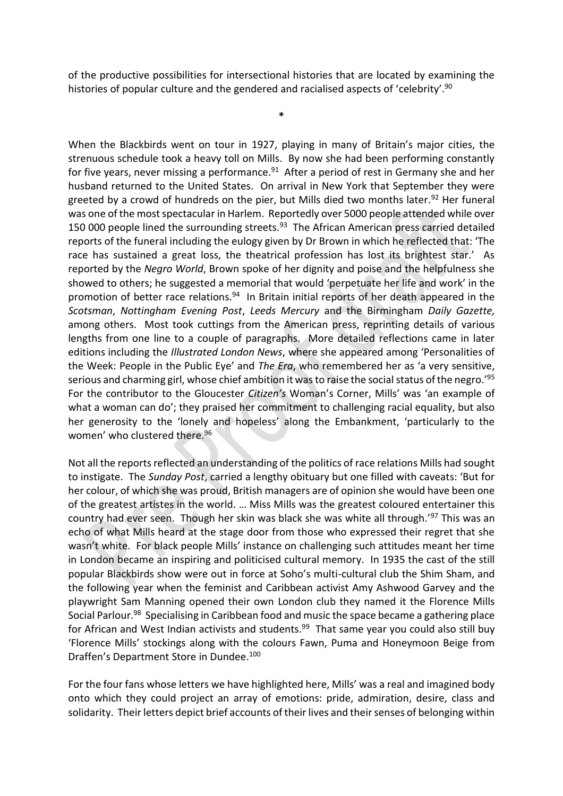of the productive possibilities for intersectional histories that are located by examining the histories of popular culture and the gendered and racialised aspects of 'celebrity'.<sup>90</sup>

**\***

When the Blackbirds went on tour in 1927, playing in many of Britain's major cities, the strenuous schedule took a heavy toll on Mills. By now she had been performing constantly for five years, never missing a performance.<sup>91</sup> After a period of rest in Germany she and her husband returned to the United States. On arrival in New York that September they were greeted by a crowd of hundreds on the pier, but Mills died two months later.<sup>92</sup> Her funeral was one of the most spectacular in Harlem. Reportedly over 5000 people attended while over 150 000 people lined the surrounding streets.<sup>93</sup> The African American press carried detailed reports of the funeral including the eulogy given by Dr Brown in which he reflected that: 'The race has sustained a great loss, the theatrical profession has lost its brightest star.' As reported by the *Negro World*, Brown spoke of her dignity and poise and the helpfulness she showed to others; he suggested a memorial that would 'perpetuate her life and work' in the promotion of better race relations.<sup>94</sup> In Britain initial reports of her death appeared in the *Scotsman*, *Nottingham Evening Post*, *Leeds Mercury* and the Birmingham *Daily Gazette,*  among others. Most took cuttings from the American press, reprinting details of various lengths from one line to a couple of paragraphs. More detailed reflections came in later editions including the *Illustrated London News*, where she appeared among 'Personalities of the Week: People in the Public Eye' and *The Era*, who remembered her as 'a very sensitive, serious and charming girl, whose chief ambition it was to raise the social status of the negro.' $^{95}$ For the contributor to the Gloucester *Citizen's* Woman's Corner, Mills' was 'an example of what a woman can do'; they praised her commitment to challenging racial equality, but also her generosity to the 'lonely and hopeless' along the Embankment, 'particularly to the women' who clustered there.<sup>96</sup>

Not all the reports reflected an understanding of the politics of race relations Mills had sought to instigate. The *Sunday Post*, carried a lengthy obituary but one filled with caveats: 'But for her colour, of which she was proud, British managers are of opinion she would have been one of the greatest artistes in the world. … Miss Mills was the greatest coloured entertainer this country had ever seen. Though her skin was black she was white all through.<sup>'97</sup> This was an echo of what Mills heard at the stage door from those who expressed their regret that she wasn't white. For black people Mills' instance on challenging such attitudes meant her time in London became an inspiring and politicised cultural memory. In 1935 the cast of the still popular Blackbirds show were out in force at Soho's multi-cultural club the Shim Sham, and the following year when the feminist and Caribbean activist Amy Ashwood Garvey and the playwright Sam Manning opened their own London club they named it the Florence Mills Social Parlour.<sup>98</sup> Specialising in Caribbean food and music the space became a gathering place for African and West Indian activists and students.<sup>99</sup> That same year you could also still buy 'Florence Mills' stockings along with the colours Fawn, Puma and Honeymoon Beige from Draffen's Department Store in Dundee.<sup>100</sup>

For the four fans whose letters we have highlighted here, Mills' was a real and imagined body onto which they could project an array of emotions: pride, admiration, desire, class and solidarity. Their letters depict brief accounts of their lives and their senses of belonging within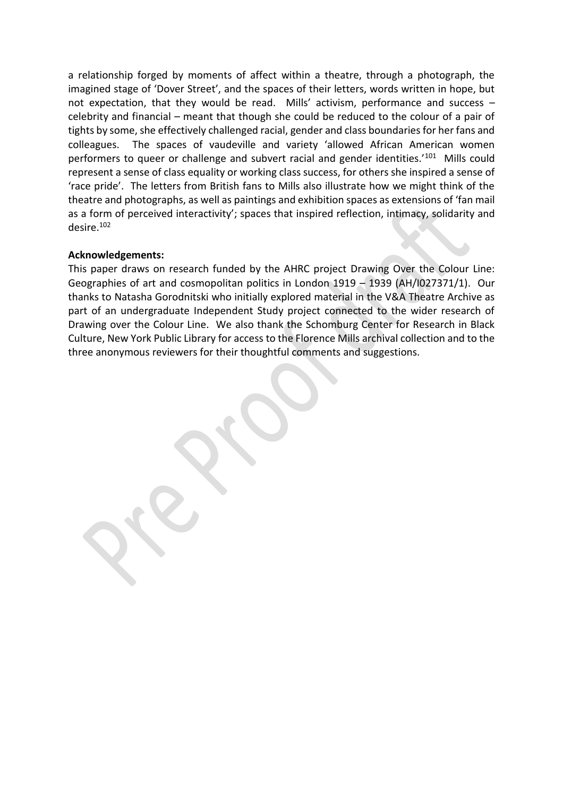a relationship forged by moments of affect within a theatre, through a photograph, the imagined stage of 'Dover Street', and the spaces of their letters, words written in hope, but not expectation, that they would be read. Mills' activism, performance and success – celebrity and financial – meant that though she could be reduced to the colour of a pair of tights by some, she effectively challenged racial, gender and class boundaries for her fans and colleagues. The spaces of vaudeville and variety 'allowed African American women performers to queer or challenge and subvert racial and gender identities.'<sup>101</sup> Mills could represent a sense of class equality or working class success, for others she inspired a sense of 'race pride'. The letters from British fans to Mills also illustrate how we might think of the theatre and photographs, as well as paintings and exhibition spaces as extensions of 'fan mail as a form of perceived interactivity'; spaces that inspired reflection, intimacy, solidarity and desire.<sup>102</sup>

# **Acknowledgements:**

This paper draws on research funded by the AHRC project Drawing Over the Colour Line: Geographies of art and cosmopolitan politics in London 1919 – 1939 (AH/I027371/1). Our thanks to Natasha Gorodnitski who initially explored material in the V&A Theatre Archive as part of an undergraduate Independent Study project connected to the wider research of Drawing over the Colour Line. We also thank the Schomburg Center for Research in Black Culture, New York Public Library for access to the Florence Mills archival collection and to the three anonymous reviewers for their thoughtful comments and suggestions.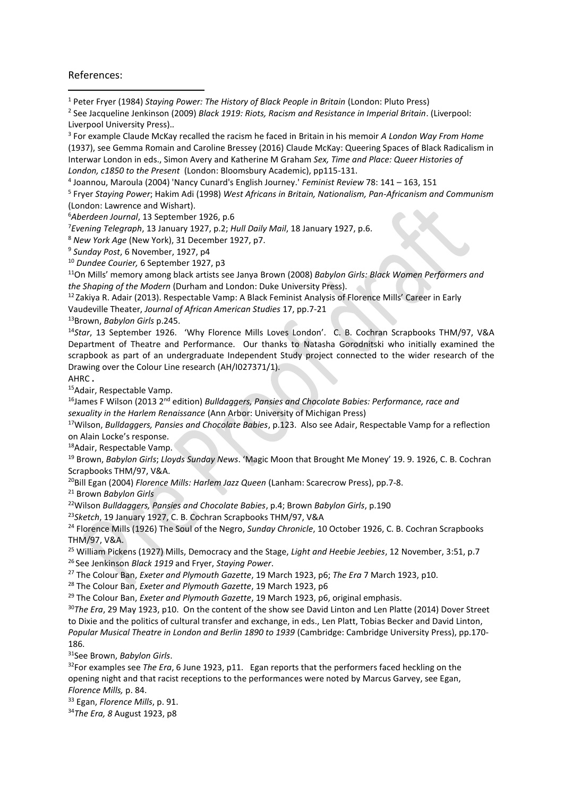#### References:

i

<sup>1</sup> Peter Fryer (1984) *Staying Power: The History of Black People in Britain* (London: Pluto Press)

2 See Jacqueline Jenkinson (2009) *Black 1919: Riots, Racism and Resistance in Imperial Britain*. (Liverpool: Liverpool University Press).*.*

3 For example Claude McKay recalled the racism he faced in Britain in his memoir *A London Way From Home* (1937), see Gemma Romain and Caroline Bressey (2016) Claude McKay: Queering Spaces of Black Radicalism in Interwar London in eds., Simon Avery and Katherine M Graham *Sex, Time and Place: Queer Histories of London, c1850 to the Present* (London: Bloomsbury Academic), pp115-131.

4 Joannou, Maroula (2004) 'Nancy Cunard's English Journey.' *Feminist Review* 78: 141 – 163, 151

5 Fryer *Staying Power*; Hakim Adi (1998) *West Africans in Britain, Nationalism, Pan-Africanism and Communism* (London: Lawrence and Wishart).

<sup>6</sup>*Aberdeen Journal*, 13 September 1926, p.6

<sup>7</sup>*Evening Telegraph*, 13 January 1927, p.2; *Hull Daily Mail*, 18 January 1927, p.6.

<sup>8</sup> *New York Age* (New York), 31 December 1927, p7.

9 *Sunday Post*, 6 November, 1927, p4

<sup>10</sup> *Dundee Courier,* 6 September 1927, p3

<sup>11</sup>On Mills' memory among black artists see Janya Brown (2008) *Babylon Girls: Black Women Performers and the Shaping of the Modern* (Durham and London: Duke University Press).

<sup>12</sup> Zakiya R. Adair (2013). Respectable Vamp: A Black Feminist Analysis of Florence Mills' Career in Early Vaudeville Theater, *Journal of African American Studies* 17, pp.7-21

<sup>13</sup>Brown, *Babylon Girls* p.245.

<sup>14</sup>*Star*, 13 September 1926. 'Why Florence Mills Loves London'. C. B. Cochran Scrapbooks THM/97, V&A Department of Theatre and Performance. Our thanks to Natasha Gorodnitski who initially examined the scrapbook as part of an undergraduate Independent Study project connected to the wider research of the Drawing over the Colour Line research (AH/I027371/1).

AHRC **.**

<sup>15</sup>Adair, Respectable Vamp.

<sup>16</sup>James F Wilson (2013 2<sup>nd</sup> edition) *Bulldaggers, Pansies and Chocolate Babies: Performance, race and sexuality in the Harlem Renaissance* (Ann Arbor: University of Michigan Press)

<sup>17</sup>Wilson, *Bulldaggers, Pansies and Chocolate Babies*, p.123. Also see Adair, Respectable Vamp for a reflection on Alain Locke's response.

<sup>18</sup>Adair, Respectable Vamp.

<sup>19</sup> Brown, *Babylon Girls*; *Lloyds Sunday News*. 'Magic Moon that Brought Me Money' 19. 9. 1926, C. B. Cochran Scrapbooks THM/97, V&A.

<sup>20</sup>Bill Egan (2004) *Florence Mills: Harlem Jazz Queen* (Lanham: Scarecrow Press), pp.7-8.

<sup>21</sup> Brown *Babylon Girls*

<sup>22</sup>Wilson *Bulldaggers, Pansies and Chocolate Babies*, p.4; Brown *Babylon Girls*, p.190

<sup>23</sup>*Sketch*, 19 January 1927, C. B. Cochran Scrapbooks THM/97, V&A

<sup>24</sup> Florence Mills (1926) The Soul of the Negro, *Sunday Chronicle*, 10 October 1926, C. B. Cochran Scrapbooks THM/97, V&A.

<sup>25</sup> William Pickens (1927) Mills, Democracy and the Stage, *Light and Heebie Jeebies*, 12 November, 3:51, p.7 <sup>26</sup> See Jenkinson *Black 1919* and Fryer, *Staying Power*.

<sup>27</sup> The Colour Ban, *Exeter and Plymouth Gazette*, 19 March 1923, p6; *The Era* 7 March 1923, p10.

<sup>28</sup> The Colour Ban, *Exeter and Plymouth Gazette*, 19 March 1923, p6

<sup>29</sup> The Colour Ban, *Exeter and Plymouth Gazette*, 19 March 1923, p6, original emphasis.

<sup>30</sup>*The Era*, 29 May 1923, p10.On the content of the show see David Linton and Len Platte (2014) Dover Street to Dixie and the politics of cultural transfer and exchange, in eds., Len Platt, Tobias Becker and David Linton, *Popular Musical Theatre in London and Berlin 1890 to 1939* (Cambridge: Cambridge University Press), pp.170- 186.

<sup>31</sup>See Brown, *Babylon Girls*.

<sup>32</sup>For examples see *The Era*, 6 June 1923, p11. Egan reports that the performers faced heckling on the opening night and that racist receptions to the performances were noted by Marcus Garvey, see Egan, *Florence Mills,* p. 84.

<sup>33</sup> Egan, *Florence Mills*, p. 91.

<sup>34</sup>*The Era, 8* August 1923, p8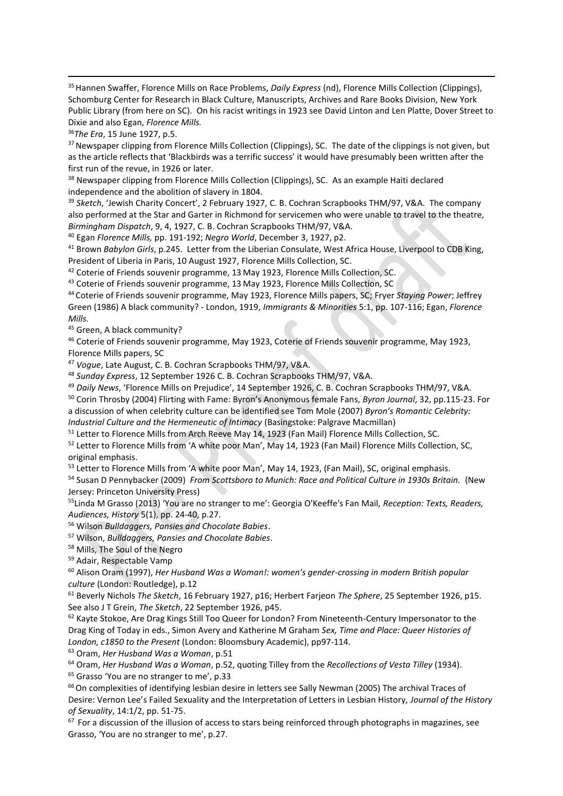i <sup>35</sup> Hannen Swaffer, Florence Mills on Race Problems, *Daily Express* (nd), Florence Mills Collection (Clippings), Schomburg Center for Research in Black Culture, Manuscripts, Archives and Rare Books Division, New York Public Library (from here on SC). On his racist writings in 1923 see David Linton and Len Platte, Dover Street to Dixie and also Egan, *Florence Mills.*

<sup>36</sup>*The Era*, 15 June 1927, p.5.

<sup>37</sup> Newspaper clipping from Florence Mills Collection (Clippings), SC. The date of the clippings is not given, but as the article reflects that 'Blackbirds was a terrific success' it would have presumably been written after the first run of the revue, in 1926 or later.

<sup>38</sup> Newspaper clipping from Florence Mills Collection (Clippings), SC. As an example Haiti declared independence and the abolition of slavery in 1804.

<sup>39</sup> *Sketch*, 'Jewish Charity Concert', 2 February 1927, C. B. Cochran Scrapbooks THM/97, V&A. The company also performed at the Star and Garter in Richmond for servicemen who were unable to travel to the theatre, *Birmingham Dispatch*, 9, 4, 1927, C. B. Cochran Scrapbooks THM/97, V&A.

<sup>40</sup> Egan *Florence Mills,* pp. 191-192; *Negro World*, December 3, 1927, p2.

<sup>41</sup> Brown *Babylon Girls*, p.245. Letter from the Liberian Consulate, West Africa House, Liverpool to CDB King, President of Liberia in Paris, 10 August 1927, Florence Mills Collection, SC.

<sup>42</sup> Coterie of Friends souvenir programme, 13 May 1923, Florence Mills Collection, SC.

<sup>43</sup> Coterie of Friends souvenir programme, 13 May 1923, Florence Mills Collection, SC

<sup>44</sup> Coterie of Friends souvenir programme, May 1923, Florence Mills papers, SC; Fryer *Staying Power*; Jeffrey Green (1986) A black community? ‐ London, 1919, *Immigrants & Minorities* [5](http://www.tandfonline.com/toc/fimm20/5/1):1, pp. 107-116; Egan, *Florence Mills.*

<sup>45</sup> Green, A black community?

<sup>46</sup> Coterie of Friends souvenir programme, May 1923, Coterie of Friends souvenir programme, May 1923, Florence Mills papers, SC

<sup>47</sup> *Vogue*, Late August, C. B. Cochran Scrapbooks THM/97, V&A.

<sup>48</sup> *Sunday Express*, 12 September 1926 C. B. Cochran Scrapbooks THM/97, V&A.

<sup>49</sup> *Daily News*, 'Florence Mills on Prejudice', 14 September 1926, C. B. Cochran Scrapbooks THM/97, V&A.

<sup>50</sup> Corin Throsby (2004) Flirting with Fame: Byron's Anonymous female Fans, *Byron Journal*, 32, pp.115-23. For a discussion of when celebrity culture can be identified see Tom Mole (2007) *Byron's Romantic Celebrity: Industrial Culture and the Hermeneutic of Intimacy* (Basingstoke: Palgrave Macmillan)

51 Letter to Florence Mills from Arch Reeve May 14, 1923 (Fan Mail) Florence Mills Collection, SC.

<sup>52</sup> Letter to Florence Mills from 'A white poor Man', May 14, 1923 (Fan Mail) Florence Mills Collection, SC, original emphasis.

53 Letter to Florence Mills from 'A white poor Man', May 14, 1923, (Fan Mail), SC, original emphasis.

<sup>54</sup> Susan D Pennybacker (2009) *From Scottsboro to Munich: Race and Political Culture in 1930s Britain.* (New Jersey: Princeton University Press)

<sup>55</sup>Linda M Grasso (2013) 'You are no stranger to me': Georgia O'Keeffe's Fan Mail, *Reception: Texts, Readers, Audiences, History* 5(1), pp. 24-40, p.27.

<sup>56</sup> Wilson *Bulldaggers, Pansies and Chocolate Babies*.

<sup>57</sup> Wilson, *Bulldaggers, Pansies and Chocolate Babies*.

<sup>58</sup> Mills, The Soul of the Negro

<sup>59</sup> Adair, Respectable Vamp

<sup>60</sup> Alison Oram (1997), *Her Husband Was a Woman!: women's gender-crossing in modern British popular culture* (London: Routledge), p.12

<sup>61</sup> Beverly Nichols *The Sketch*, 16 February 1927, p16; Herbert Farjeon *The Sphere*, 25 September 1926, p15. See also J T Grein, *The Sketch*, 22 September 1926, p45.

<sup>62</sup> Kayte Stokoe, Are Drag Kings Still Too Queer for London? From Nineteenth-Century Impersonator to the Drag King of Today in eds., Simon Avery and Katherine M Graham *Sex, Time and Place: Queer Histories of London, c1850 to the Present* (London: Bloomsbury Academic), pp97-114.

<sup>63</sup> Oram, *Her Husband Was a Woman*, p.51

<sup>64</sup> Oram, *Her Husband Was a Woman*, p.52, quoting Tilley from the *Recollections of Vesta Tilley* (1934).

<sup>65</sup> Grasso 'You are no stranger to me', p.33

<sup>66</sup> On complexities of identifying lesbian desire in letters see Sally Newman (2005) The archival Traces of Desire: Vernon Lee's Failed Sexuality and the Interpretation of Letters in Lesbian History, *Journal of the History of Sexuality*, 14:1/2, pp. 51-75.

<sup>67</sup> For a discussion of the illusion of access to stars being reinforced through photographs in magazines, see Grasso, 'You are no stranger to me', p.27.